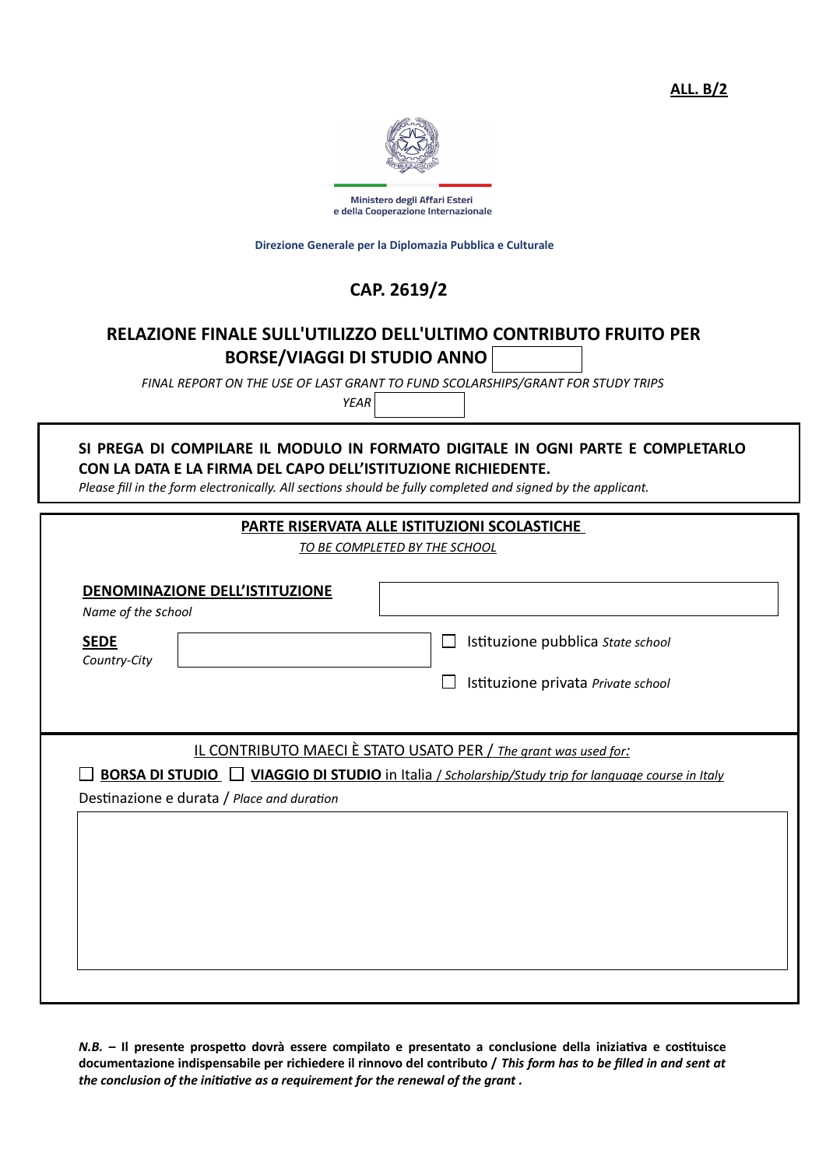

Ministero degli Affari Esteri e della Cooperazione Internazionale

**Direzione Generale per la Diplomazia Pubblica e Culturale**

## **CAP. 2619/2**

## **RELAZIONE FINALE SULL'UTILIZZO DELL'ULTIMO CONTRIBUTO FRUITO PER BORSE/VIAGGI DI STUDIO ANNO**

*FINAL REPORT ON THE USE OF LAST GRANT TO FUND SCOLARSHIPS/GRANT FOR STUDY TRIPS* 

*YEAR* 

## **SI PREGA DI COMPILARE IL MODULO IN FORMATO DIGITALE IN OGNI PARTE E COMPLETARLO CON LA DATA E LA FIRMA DEL CAPO DELL'ISTITUZIONE RICHIEDENTE.**

*Please fill in the form electronically. All sections should be fully completed and signed by the applicant.*

| PARTE RISERVATA ALLE ISTITUZIONI SCOLASTICHE                                               |                                                                                                                                                                               |  |  |  |  |
|--------------------------------------------------------------------------------------------|-------------------------------------------------------------------------------------------------------------------------------------------------------------------------------|--|--|--|--|
| TO BE COMPLETED BY THE SCHOOL                                                              |                                                                                                                                                                               |  |  |  |  |
| <b>DENOMINAZIONE DELL'ISTITUZIONE</b><br>Name of the School<br><b>SEDE</b><br>Country-City | Istituzione pubblica State school<br>Istituzione privata Private school                                                                                                       |  |  |  |  |
| Destinazione e durata / Place and duration                                                 | IL CONTRIBUTO MAECI È STATO USATO PER / The grant was used for:<br><b>BORSA DI STUDIO</b>   VIAGGIO DI STUDIO in Italia / Scholarship/Study trip for language course in Italy |  |  |  |  |

*N.B. –* **Il presente prospetto dovrà essere compilato e presentato a conclusione della iniziativa e costituisce documentazione indispensabile per richiedere il rinnovo del contributo /** *This form has to be filled in and sent at the conclusion of the initiative as a requirement for the renewal of the grant .*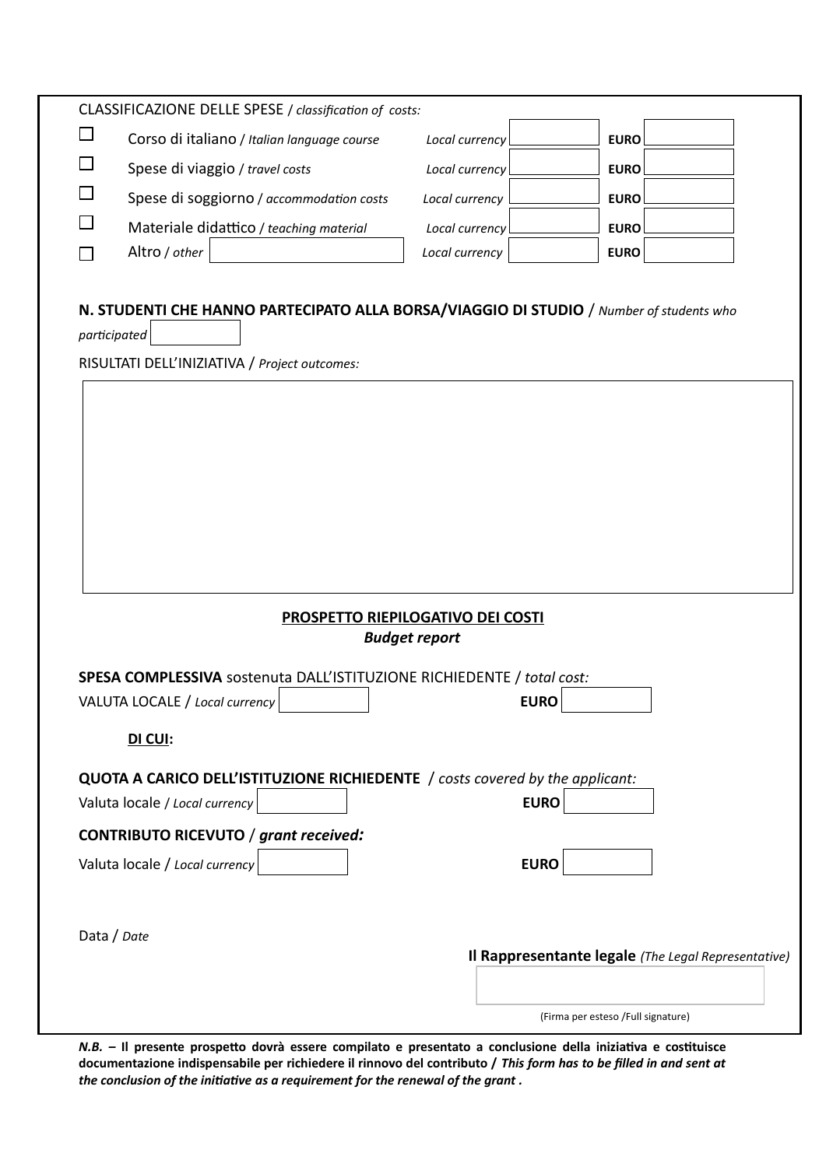|              | CLASSIFICAZIONE DELLE SPESE / classification of costs:                                                   |                                                                  |                                                     |  |
|--------------|----------------------------------------------------------------------------------------------------------|------------------------------------------------------------------|-----------------------------------------------------|--|
|              | Corso di italiano / Italian language course                                                              | Local currency                                                   | <b>EURO</b>                                         |  |
|              | Spese di viaggio / travel costs                                                                          | Local currency                                                   | <b>EURO</b>                                         |  |
|              | Spese di soggiorno / accommodation costs                                                                 | Local currency                                                   | <b>EURO</b>                                         |  |
|              | Materiale didattico / teaching material                                                                  | Local currency                                                   | <b>EURO</b>                                         |  |
|              | Altro / other                                                                                            | Local currency                                                   | <b>EURO</b>                                         |  |
| participated | RISULTATI DELL'INIZIATIVA / Project outcomes:                                                            |                                                                  |                                                     |  |
|              |                                                                                                          | <b>PROSPETTO RIEPILOGATIVO DEI COSTI</b><br><b>Budget report</b> |                                                     |  |
|              |                                                                                                          |                                                                  |                                                     |  |
|              | SPESA COMPLESSIVA sostenuta DALL'ISTITUZIONE RICHIEDENTE / total cost:<br>VALUTA LOCALE / Local currency | <b>EURO</b>                                                      |                                                     |  |
|              | DI CUI:                                                                                                  |                                                                  |                                                     |  |
|              |                                                                                                          |                                                                  |                                                     |  |
|              | QUOTA A CARICO DELL'ISTITUZIONE RICHIEDENTE / costs covered by the applicant:                            | <b>EURO</b>                                                      |                                                     |  |
|              | Valuta locale / Local currency                                                                           |                                                                  |                                                     |  |
|              | CONTRIBUTO RICEVUTO / grant received:                                                                    |                                                                  |                                                     |  |
|              | Valuta locale / Local currency                                                                           | <b>EURO</b>                                                      |                                                     |  |
|              |                                                                                                          |                                                                  |                                                     |  |
| Data / Date  |                                                                                                          |                                                                  |                                                     |  |
|              |                                                                                                          |                                                                  | Il Rappresentante legale (The Legal Representative) |  |
|              |                                                                                                          |                                                                  |                                                     |  |
|              |                                                                                                          |                                                                  | (Firma per esteso /Full signature)                  |  |

*N.B. –* **Il presente prospetto dovrà essere compilato e presentato a conclusione della iniziativa e costituisce documentazione indispensabile per richiedere il rinnovo del contributo /** *This form has to be filled in and sent at the conclusion of the initiative as a requirement for the renewal of the grant .*